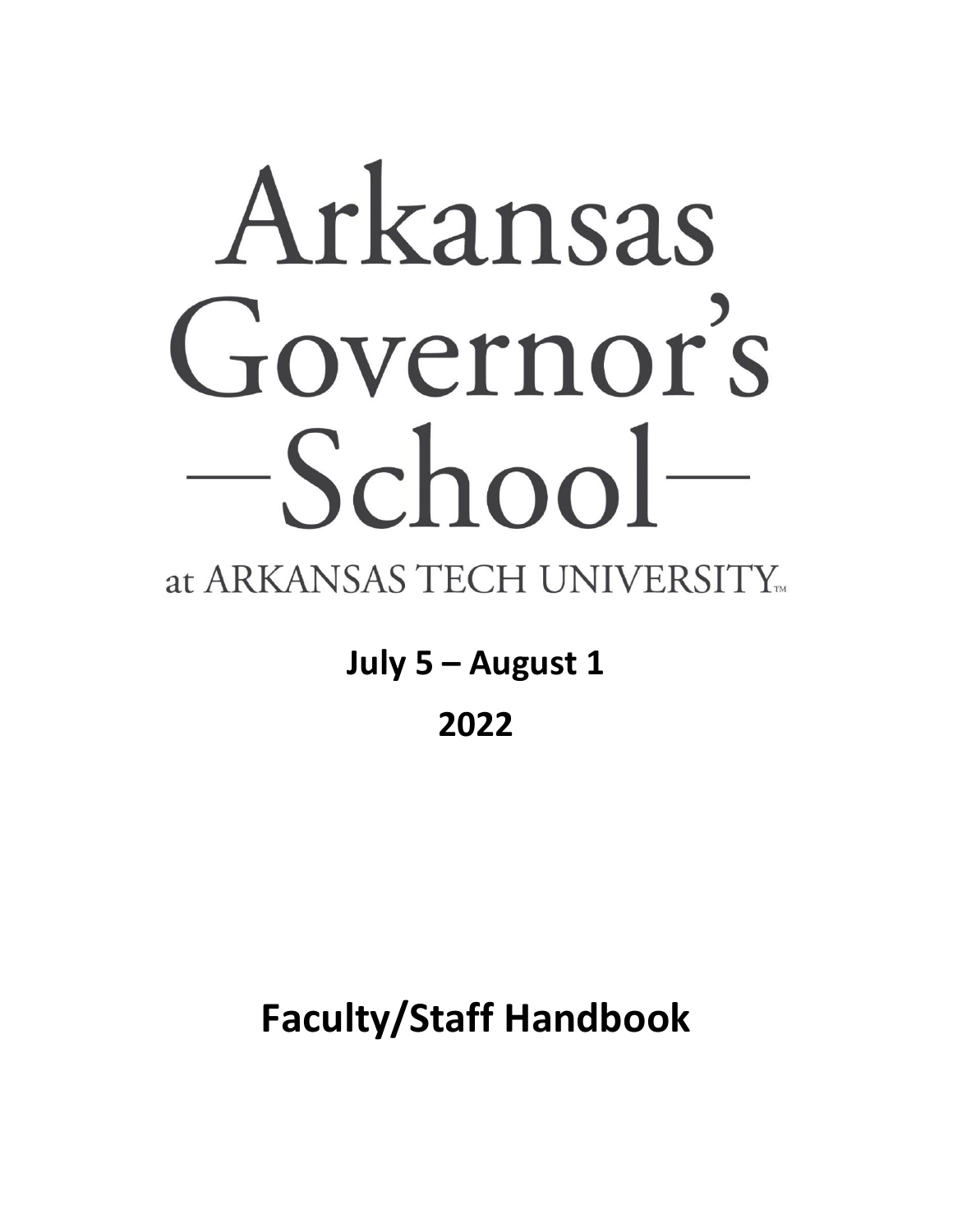# Arkansas Governor's  $-School$

# at ARKANSAS TECH UNIVERSITY...

**July 5 – August 1**

# **2022**

# **Faculty/Staff Handbook**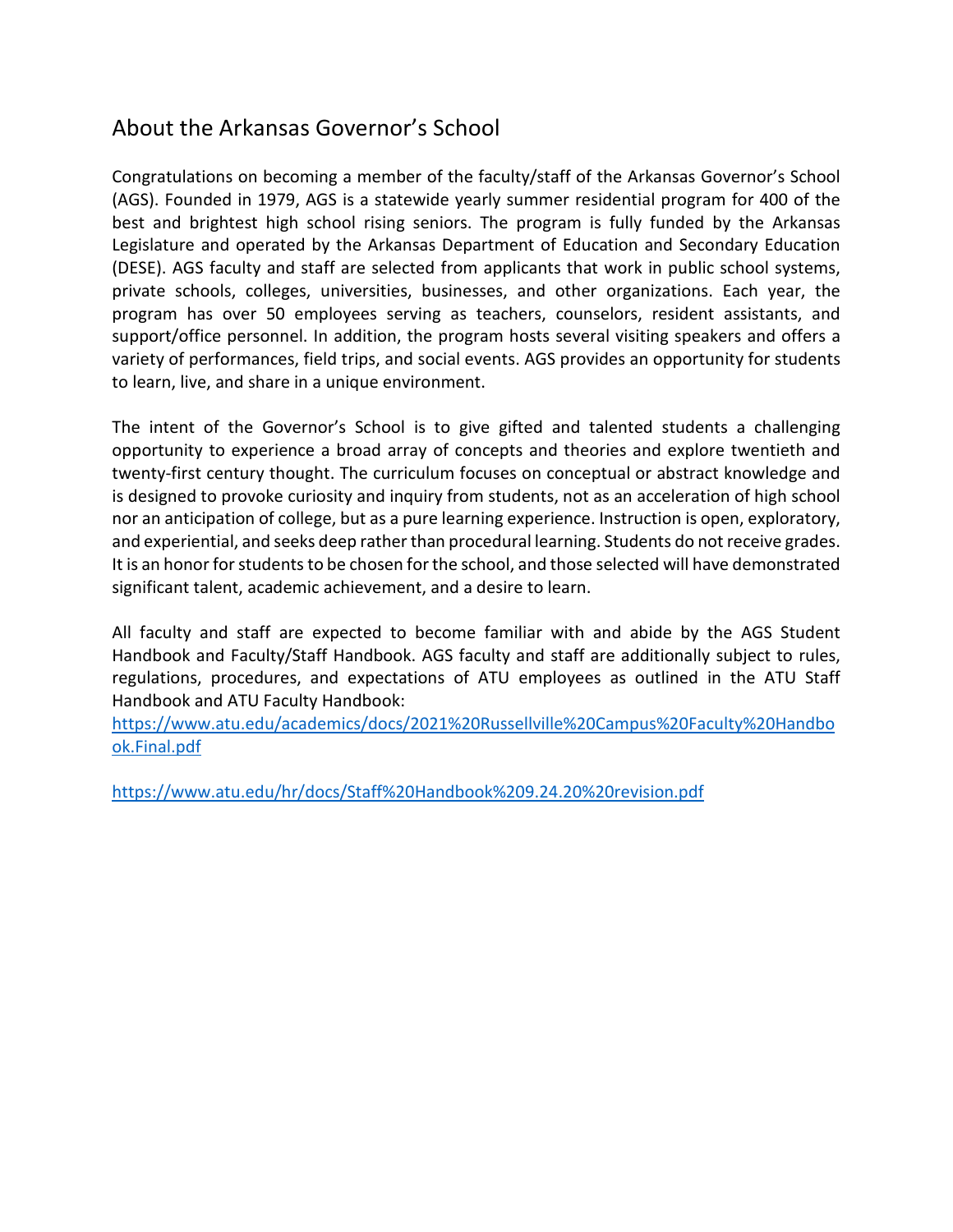## About the Arkansas Governor's School

Congratulations on becoming a member of the faculty/staff of the Arkansas Governor's School (AGS). Founded in 1979, AGS is a statewide yearly summer residential program for 400 of the best and brightest high school rising seniors. The program is fully funded by the Arkansas Legislature and operated by the Arkansas Department of Education and Secondary Education (DESE). AGS faculty and staff are selected from applicants that work in public school systems, private schools, colleges, universities, businesses, and other organizations. Each year, the program has over 50 employees serving as teachers, counselors, resident assistants, and support/office personnel. In addition, the program hosts several visiting speakers and offers a variety of performances, field trips, and social events. AGS provides an opportunity for students to learn, live, and share in a unique environment.

The intent of the Governor's School is to give gifted and talented students a challenging opportunity to experience a broad array of concepts and theories and explore twentieth and twenty-first century thought. The curriculum focuses on conceptual or abstract knowledge and is designed to provoke curiosity and inquiry from students, not as an acceleration of high school nor an anticipation of college, but as a pure learning experience. Instruction is open, exploratory, and experiential, and seeks deep rather than procedural learning. Students do not receive grades. It is an honor for students to be chosen for the school, and those selected will have demonstrated significant talent, academic achievement, and a desire to learn.

All faculty and staff are expected to become familiar with and abide by the AGS Student Handbook and Faculty/Staff Handbook. AGS faculty and staff are additionally subject to rules, regulations, procedures, and expectations of ATU employees as outlined in the ATU Staff Handbook and ATU Faculty Handbook:

[https://www.atu.edu/academics/docs/2021%20Russellville%20Campus%20Faculty%20Handbo](https://www.atu.edu/academics/docs/2021%20Russellville%20Campus%20Faculty%20Handbook.Final.pdf) [ok.Final.pdf](https://www.atu.edu/academics/docs/2021%20Russellville%20Campus%20Faculty%20Handbook.Final.pdf)

<https://www.atu.edu/hr/docs/Staff%20Handbook%209.24.20%20revision.pdf>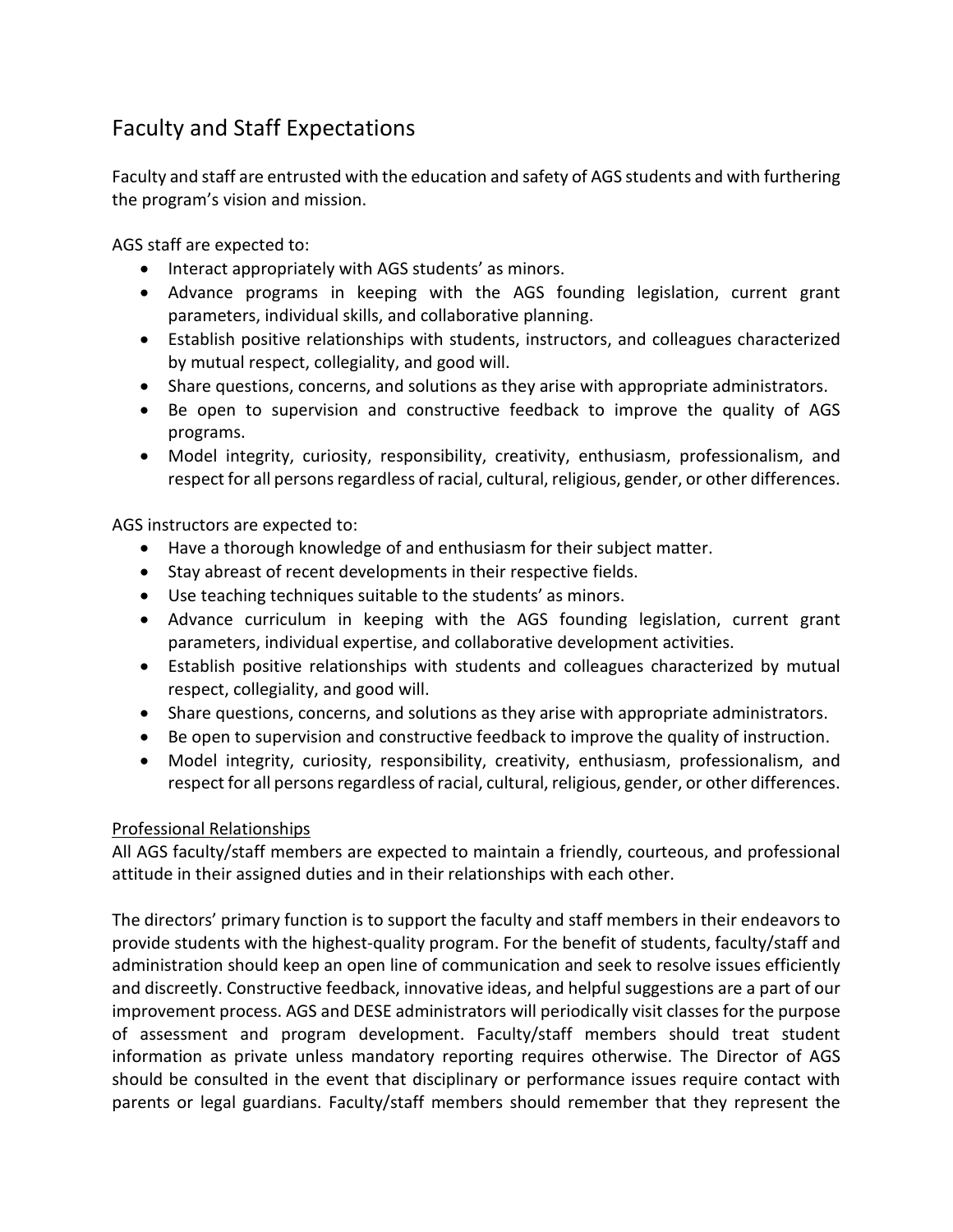## Faculty and Staff Expectations

Faculty and staff are entrusted with the education and safety of AGS students and with furthering the program's vision and mission.

AGS staff are expected to:

- Interact appropriately with AGS students' as minors.
- Advance programs in keeping with the AGS founding legislation, current grant parameters, individual skills, and collaborative planning.
- Establish positive relationships with students, instructors, and colleagues characterized by mutual respect, collegiality, and good will.
- Share questions, concerns, and solutions as they arise with appropriate administrators.
- Be open to supervision and constructive feedback to improve the quality of AGS programs.
- Model integrity, curiosity, responsibility, creativity, enthusiasm, professionalism, and respect for all persons regardless of racial, cultural, religious, gender, or other differences.

AGS instructors are expected to:

- Have a thorough knowledge of and enthusiasm for their subject matter.
- Stay abreast of recent developments in their respective fields.
- Use teaching techniques suitable to the students' as minors.
- Advance curriculum in keeping with the AGS founding legislation, current grant parameters, individual expertise, and collaborative development activities.
- Establish positive relationships with students and colleagues characterized by mutual respect, collegiality, and good will.
- Share questions, concerns, and solutions as they arise with appropriate administrators.
- Be open to supervision and constructive feedback to improve the quality of instruction.
- Model integrity, curiosity, responsibility, creativity, enthusiasm, professionalism, and respect for all persons regardless of racial, cultural, religious, gender, or other differences.

#### Professional Relationships

All AGS faculty/staff members are expected to maintain a friendly, courteous, and professional attitude in their assigned duties and in their relationships with each other.

The directors' primary function is to support the faculty and staff members in their endeavors to provide students with the highest-quality program. For the benefit of students, faculty/staff and administration should keep an open line of communication and seek to resolve issues efficiently and discreetly. Constructive feedback, innovative ideas, and helpful suggestions are a part of our improvement process. AGS and DESE administrators will periodically visit classes for the purpose of assessment and program development. Faculty/staff members should treat student information as private unless mandatory reporting requires otherwise. The Director of AGS should be consulted in the event that disciplinary or performance issues require contact with parents or legal guardians. Faculty/staff members should remember that they represent the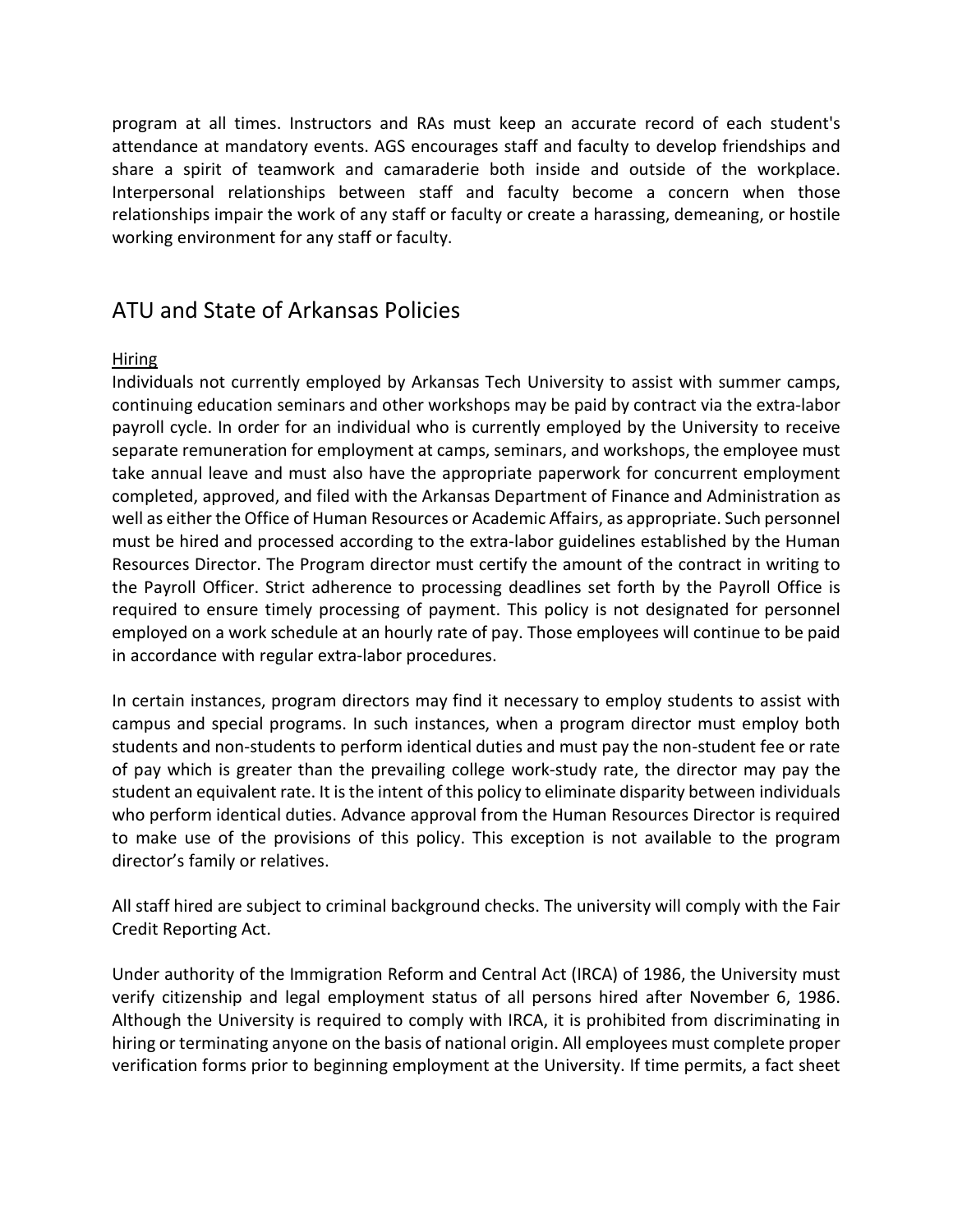program at all times. Instructors and RAs must keep an accurate record of each student's attendance at mandatory events. AGS encourages staff and faculty to develop friendships and share a spirit of teamwork and camaraderie both inside and outside of the workplace. Interpersonal relationships between staff and faculty become a concern when those relationships impair the work of any staff or faculty or create a harassing, demeaning, or hostile working environment for any staff or faculty.

### ATU and State of Arkansas Policies

#### Hiring

Individuals not currently employed by Arkansas Tech University to assist with summer camps, continuing education seminars and other workshops may be paid by contract via the extra-labor payroll cycle. In order for an individual who is currently employed by the University to receive separate remuneration for employment at camps, seminars, and workshops, the employee must take annual leave and must also have the appropriate paperwork for concurrent employment completed, approved, and filed with the Arkansas Department of Finance and Administration as well as either the Office of Human Resources or Academic Affairs, as appropriate. Such personnel must be hired and processed according to the extra-labor guidelines established by the Human Resources Director. The Program director must certify the amount of the contract in writing to the Payroll Officer. Strict adherence to processing deadlines set forth by the Payroll Office is required to ensure timely processing of payment. This policy is not designated for personnel employed on a work schedule at an hourly rate of pay. Those employees will continue to be paid in accordance with regular extra-labor procedures.

In certain instances, program directors may find it necessary to employ students to assist with campus and special programs. In such instances, when a program director must employ both students and non-students to perform identical duties and must pay the non-student fee or rate of pay which is greater than the prevailing college work-study rate, the director may pay the student an equivalent rate. It is the intent of this policy to eliminate disparity between individuals who perform identical duties. Advance approval from the Human Resources Director is required to make use of the provisions of this policy. This exception is not available to the program director's family or relatives.

All staff hired are subject to criminal background checks. The university will comply with the Fair Credit Reporting Act.

Under authority of the Immigration Reform and Central Act (IRCA) of 1986, the University must verify citizenship and legal employment status of all persons hired after November 6, 1986. Although the University is required to comply with IRCA, it is prohibited from discriminating in hiring or terminating anyone on the basis of national origin. All employees must complete proper verification forms prior to beginning employment at the University. If time permits, a fact sheet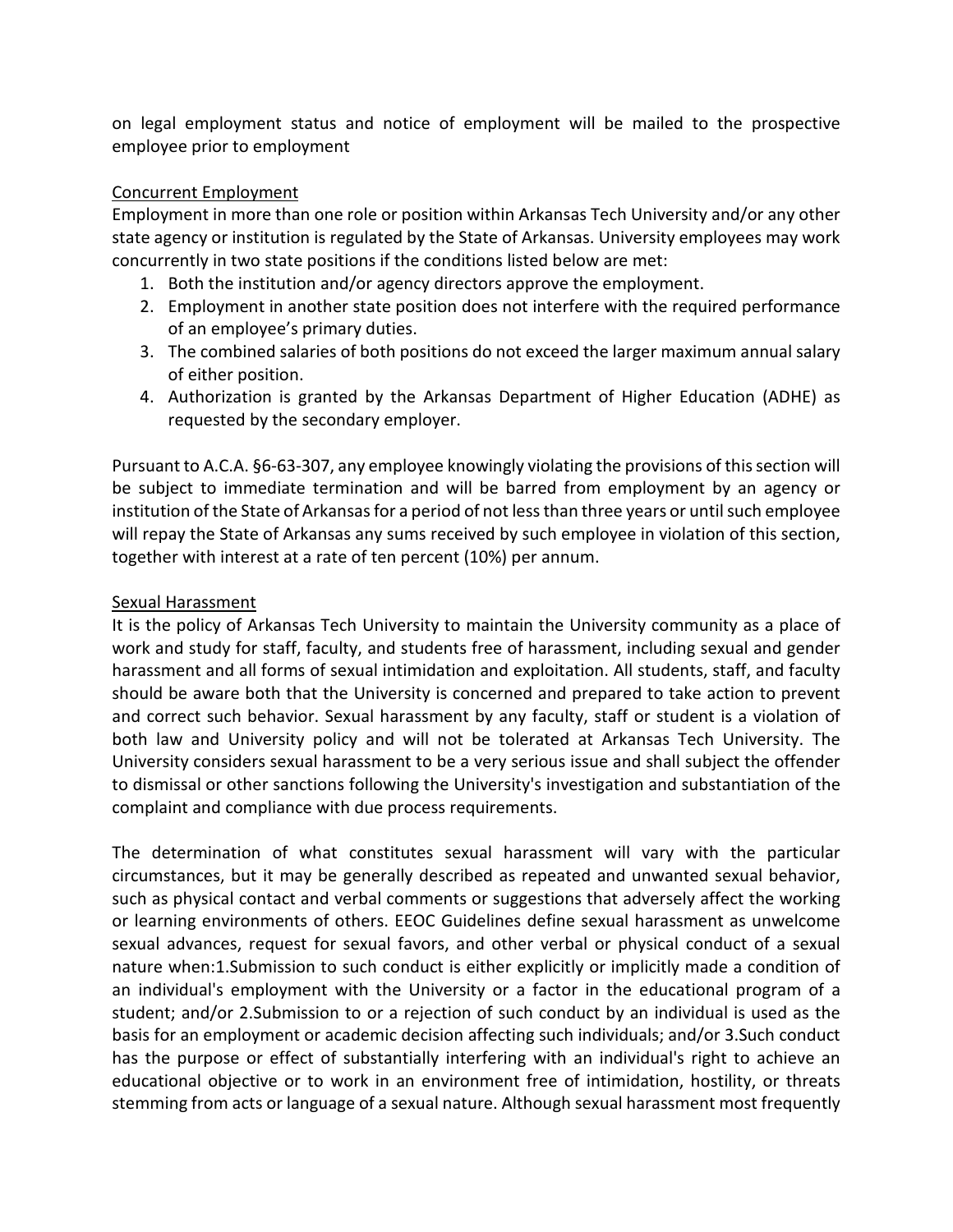on legal employment status and notice of employment will be mailed to the prospective employee prior to employment

#### Concurrent Employment

Employment in more than one role or position within Arkansas Tech University and/or any other state agency or institution is regulated by the State of Arkansas. University employees may work concurrently in two state positions if the conditions listed below are met:

- 1. Both the institution and/or agency directors approve the employment.
- 2. Employment in another state position does not interfere with the required performance of an employee's primary duties.
- 3. The combined salaries of both positions do not exceed the larger maximum annual salary of either position.
- 4. Authorization is granted by the Arkansas Department of Higher Education (ADHE) as requested by the secondary employer.

Pursuant to A.C.A. §6-63-307, any employee knowingly violating the provisions of this section will be subject to immediate termination and will be barred from employment by an agency or institution of the State of Arkansas for a period of not less than three years or until such employee will repay the State of Arkansas any sums received by such employee in violation of this section, together with interest at a rate of ten percent (10%) per annum.

#### Sexual Harassment

It is the policy of Arkansas Tech University to maintain the University community as a place of work and study for staff, faculty, and students free of harassment, including sexual and gender harassment and all forms of sexual intimidation and exploitation. All students, staff, and faculty should be aware both that the University is concerned and prepared to take action to prevent and correct such behavior. Sexual harassment by any faculty, staff or student is a violation of both law and University policy and will not be tolerated at Arkansas Tech University. The University considers sexual harassment to be a very serious issue and shall subject the offender to dismissal or other sanctions following the University's investigation and substantiation of the complaint and compliance with due process requirements.

The determination of what constitutes sexual harassment will vary with the particular circumstances, but it may be generally described as repeated and unwanted sexual behavior, such as physical contact and verbal comments or suggestions that adversely affect the working or learning environments of others. EEOC Guidelines define sexual harassment as unwelcome sexual advances, request for sexual favors, and other verbal or physical conduct of a sexual nature when:1.Submission to such conduct is either explicitly or implicitly made a condition of an individual's employment with the University or a factor in the educational program of a student; and/or 2.Submission to or a rejection of such conduct by an individual is used as the basis for an employment or academic decision affecting such individuals; and/or 3.Such conduct has the purpose or effect of substantially interfering with an individual's right to achieve an educational objective or to work in an environment free of intimidation, hostility, or threats stemming from acts or language of a sexual nature. Although sexual harassment most frequently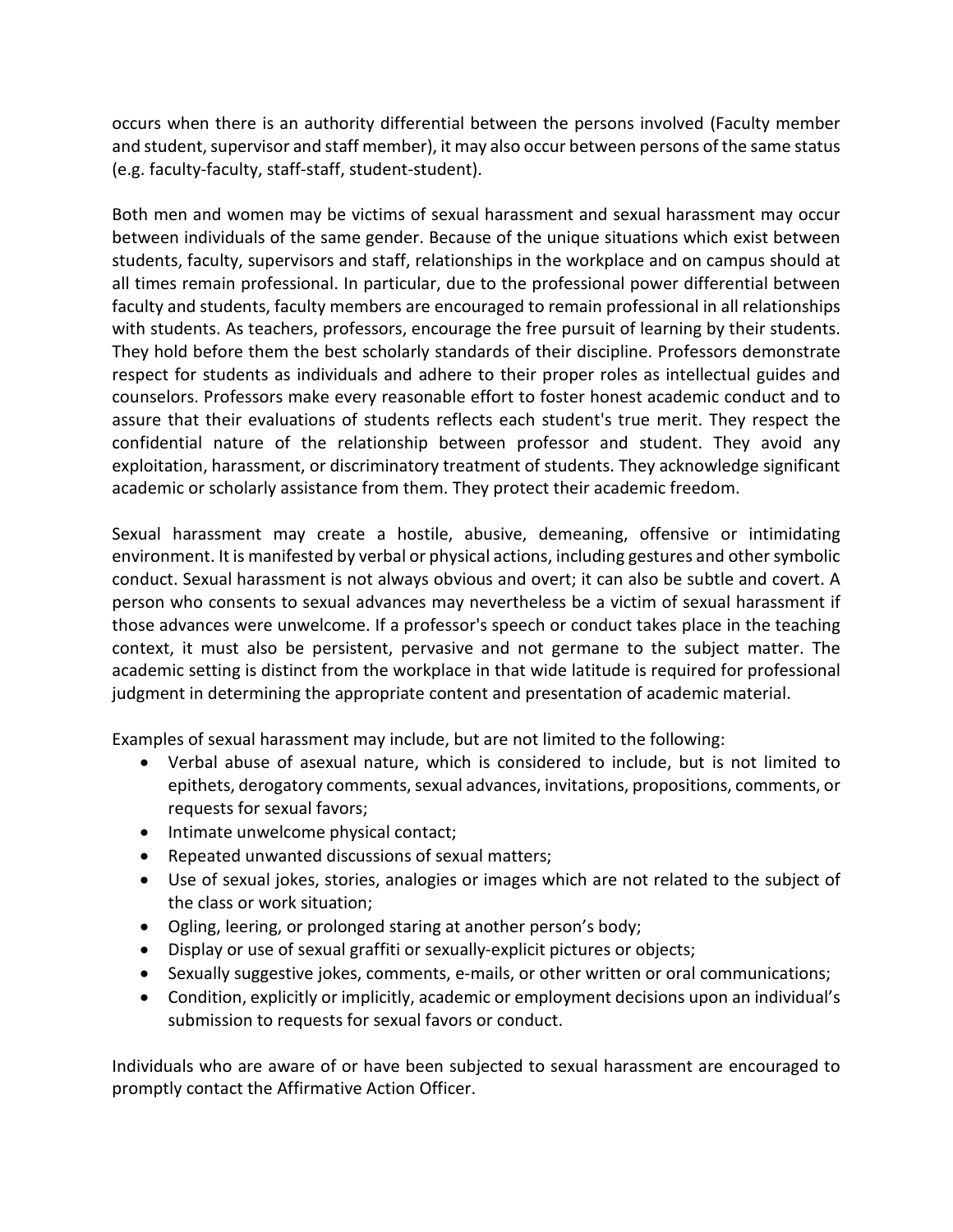occurs when there is an authority differential between the persons involved (Faculty member and student, supervisor and staff member), it may also occur between persons of the same status (e.g. faculty-faculty, staff-staff, student-student).

Both men and women may be victims of sexual harassment and sexual harassment may occur between individuals of the same gender. Because of the unique situations which exist between students, faculty, supervisors and staff, relationships in the workplace and on campus should at all times remain professional. In particular, due to the professional power differential between faculty and students, faculty members are encouraged to remain professional in all relationships with students. As teachers, professors, encourage the free pursuit of learning by their students. They hold before them the best scholarly standards of their discipline. Professors demonstrate respect for students as individuals and adhere to their proper roles as intellectual guides and counselors. Professors make every reasonable effort to foster honest academic conduct and to assure that their evaluations of students reflects each student's true merit. They respect the confidential nature of the relationship between professor and student. They avoid any exploitation, harassment, or discriminatory treatment of students. They acknowledge significant academic or scholarly assistance from them. They protect their academic freedom.

Sexual harassment may create a hostile, abusive, demeaning, offensive or intimidating environment. It is manifested by verbal or physical actions, including gestures and other symbolic conduct. Sexual harassment is not always obvious and overt; it can also be subtle and covert. A person who consents to sexual advances may nevertheless be a victim of sexual harassment if those advances were unwelcome. If a professor's speech or conduct takes place in the teaching context, it must also be persistent, pervasive and not germane to the subject matter. The academic setting is distinct from the workplace in that wide latitude is required for professional judgment in determining the appropriate content and presentation of academic material.

Examples of sexual harassment may include, but are not limited to the following:

- Verbal abuse of asexual nature, which is considered to include, but is not limited to epithets, derogatory comments, sexual advances, invitations, propositions, comments, or requests for sexual favors;
- Intimate unwelcome physical contact;
- Repeated unwanted discussions of sexual matters;
- Use of sexual jokes, stories, analogies or images which are not related to the subject of the class or work situation;
- Ogling, leering, or prolonged staring at another person's body;
- Display or use of sexual graffiti or sexually-explicit pictures or objects;
- Sexually suggestive jokes, comments, e-mails, or other written or oral communications;
- Condition, explicitly or implicitly, academic or employment decisions upon an individual's submission to requests for sexual favors or conduct.

Individuals who are aware of or have been subjected to sexual harassment are encouraged to promptly contact the Affirmative Action Officer.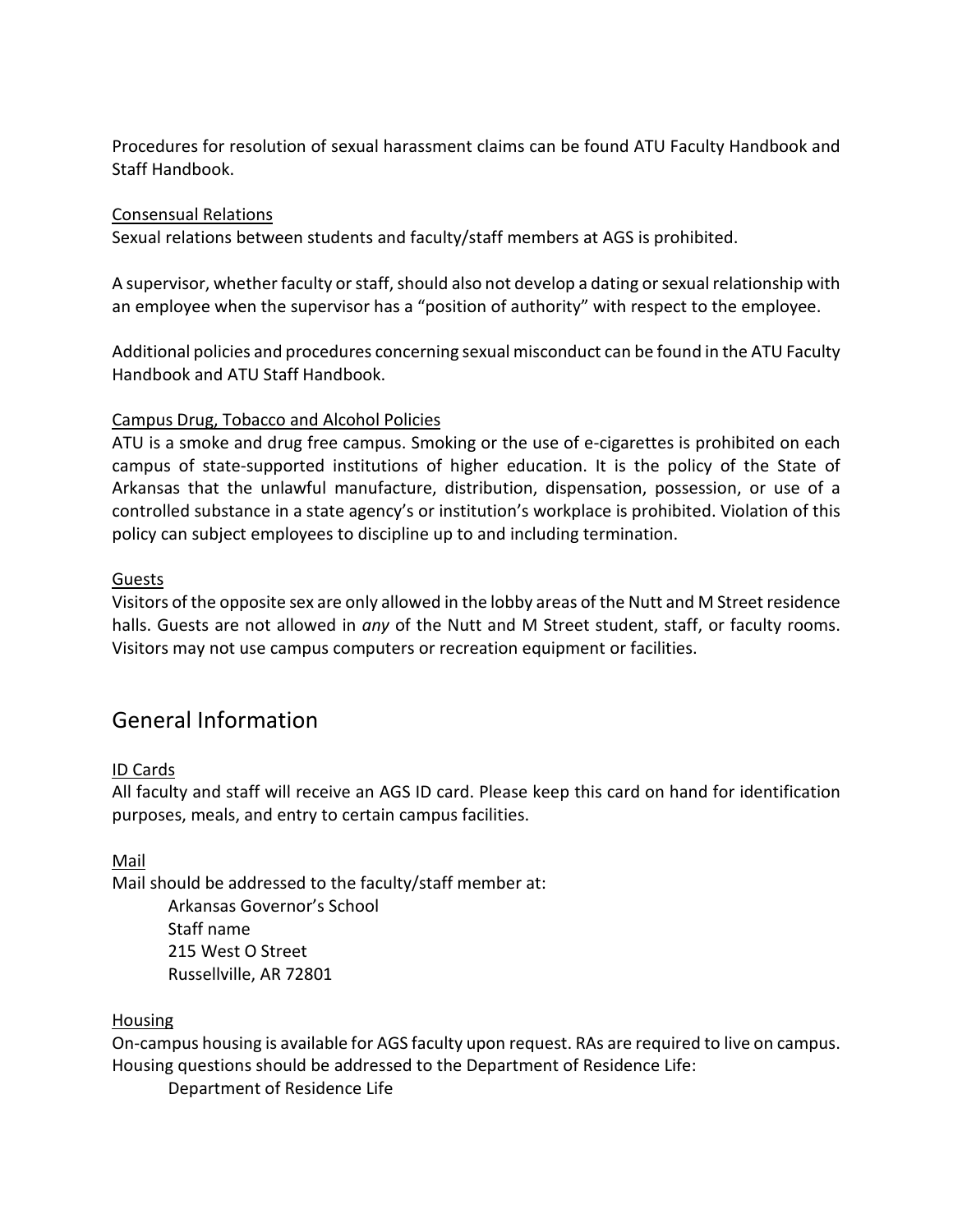Procedures for resolution of sexual harassment claims can be found ATU Faculty Handbook and Staff Handbook.

#### Consensual Relations

Sexual relations between students and faculty/staff members at AGS is prohibited.

A supervisor, whether faculty or staff, should also not develop a dating or sexual relationship with an employee when the supervisor has a "position of authority" with respect to the employee.

Additional policies and procedures concerning sexual misconduct can be found in the ATU Faculty Handbook and ATU Staff Handbook.

#### Campus Drug, Tobacco and Alcohol Policies

ATU is a smoke and drug free campus. Smoking or the use of e-cigarettes is prohibited on each campus of state-supported institutions of higher education. It is the policy of the State of Arkansas that the unlawful manufacture, distribution, dispensation, possession, or use of a controlled substance in a state agency's or institution's workplace is prohibited. Violation of this policy can subject employees to discipline up to and including termination.

#### Guests

Visitors of the opposite sex are only allowed in the lobby areas of the Nutt and M Street residence halls. Guests are not allowed in *any* of the Nutt and M Street student, staff, or faculty rooms. Visitors may not use campus computers or recreation equipment or facilities.

## General Information

#### ID Cards

All faculty and staff will receive an AGS ID card. Please keep this card on hand for identification purposes, meals, and entry to certain campus facilities.

Mail

Mail should be addressed to the faculty/staff member at:

Arkansas Governor's School Staff name 215 West O Street Russellville, AR 72801

#### Housing

On-campus housing is available for AGS faculty upon request. RAs are required to live on campus. Housing questions should be addressed to the Department of Residence Life:

Department of Residence Life